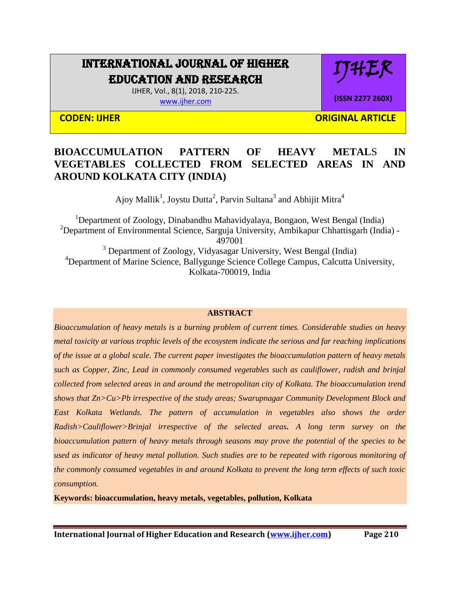# INTERNATIONAL JOURNAL OF HIGHER EDUCATION AND RESEARCH

IJHER, Vol., 8(1), 2018, 210-225. [www.ijher.com](http://www.ijher.com/)

IJHER

**(ISSN 2277 260X)**

**CODEN: IJHER ORIGINAL ARTICLE** 

## **BIOACCUMULATION PATTERN OF HEAVY METAL**S **IN VEGETABLES COLLECTED FROM SELECTED AREAS IN AND AROUND KOLKATA CITY (INDIA)**

Ajoy Mallik<sup>1</sup>, Joystu Dutta<sup>2</sup>, Parvin Sultana<sup>3</sup> and Abhijit Mitra<sup>4</sup>

<sup>1</sup>Department of Zoology, Dinabandhu Mahavidyalaya, Bongaon, West Bengal (India) <sup>2</sup>Department of Environmental Science, Sarguja University, Ambikapur Chhattisgarh (India) -497001 <sup>3</sup> Department of Zoology, Vidyasagar University, West Bengal (India) <sup>4</sup>Department of Marine Science, Ballygunge Science College Campus, Calcutta University, Kolkata-700019, India

## **ABSTRACT**

*Bioaccumulation of heavy metals is a burning problem of current times. Considerable studies on heavy metal toxicity at various trophic levels of the ecosystem indicate the serious and far reaching implications of the issue at a global scale. The current paper investigates the bioaccumulation pattern of heavy metals such as Copper, Zinc, Lead in commonly consumed vegetables such as cauliflower, radish and brinjal collected from selected areas in and around the metropolitan city of Kolkata. The bioaccumulation trend shows that Zn>Cu>Pb irrespective of the study areas; Swarupnagar Community Development Block and East Kolkata Wetlands. The pattern of accumulation in vegetables also shows the order Radish>Cauliflower>Brinjal irrespective of the selected areas. A long term survey on the bioaccumulation pattern of heavy metals through seasons may prove the potential of the species to be used as indicator of heavy metal pollution. Such studies are to be repeated with rigorous monitoring of the commonly consumed vegetables in and around Kolkata to prevent the long term effects of such toxic consumption.*

**Keywords: bioaccumulation, heavy metals, vegetables, pollution, Kolkata**

**International Journal of Higher Education and Research [\(www.ijher.com\)](http://www.ijher.com/) Page 210**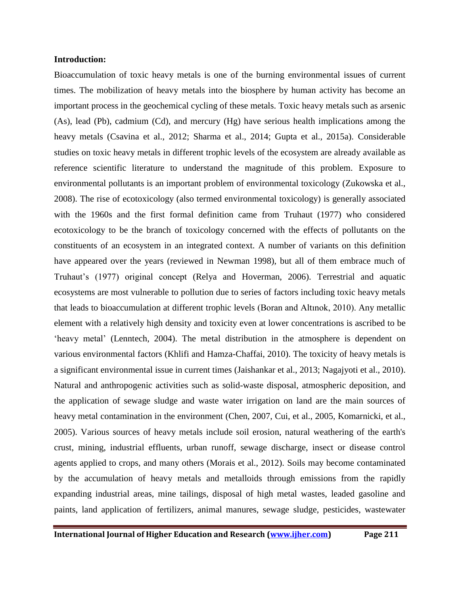## **Introduction:**

Bioaccumulation of toxic heavy metals is one of the burning environmental issues of current times. The mobilization of heavy metals into the biosphere by human activity has become an important process in the geochemical cycling of these metals. Toxic heavy metals such as arsenic (As), lead (Pb), cadmium (Cd), and mercury (Hg) have serious health implications among the heavy metals (Csavina et al., 2012; Sharma et al., 2014; Gupta et al., 2015a). Considerable studies on toxic heavy metals in different trophic levels of the ecosystem are already available as reference scientific literature to understand the magnitude of this problem. Exposure to environmental pollutants is an important problem of environmental toxicology (Zukowska et al., 2008). The rise of ecotoxicology (also termed environmental toxicology) is generally associated with the 1960s and the first formal definition came from Truhaut (1977) who considered ecotoxicology to be the branch of toxicology concerned with the effects of pollutants on the constituents of an ecosystem in an integrated context. A number of variants on this definition have appeared over the years (reviewed in Newman 1998), but all of them embrace much of Truhaut's (1977) original concept (Relya and Hoverman, 2006). Terrestrial and aquatic ecosystems are most vulnerable to pollution due to series of factors including toxic heavy metals that leads to bioaccumulation at different trophic levels (Boran and Altınok, 2010). Any metallic element with a relatively high density and toxicity even at lower concentrations is ascribed to be 'heavy metal' (Lenntech, 2004). The metal distribution in the atmosphere is dependent on various environmental factors (Khlifi and Hamza-Chaffai, 2010). The toxicity of heavy metals is a significant environmental issue in current times (Jaishankar et al., 2013; Nagajyoti et al., 2010). Natural and anthropogenic activities such as solid-waste disposal, atmospheric deposition, and the application of sewage sludge and waste water irrigation on land are the main sources of heavy metal contamination in the environment (Chen, 2007, Cui, et al., 2005, Komarnicki, et al., 2005). Various sources of heavy metals include soil erosion, natural weathering of the earth's crust, mining, industrial effluents, urban runoff, sewage discharge, insect or disease control agents applied to crops, and many others (Morais et al., 2012). Soils may become contaminated by the accumulation of heavy metals and metalloids through emissions from the rapidly expanding industrial areas, mine tailings, disposal of high metal wastes, leaded gasoline and paints, land application of fertilizers, animal manures, sewage sludge, pesticides, wastewater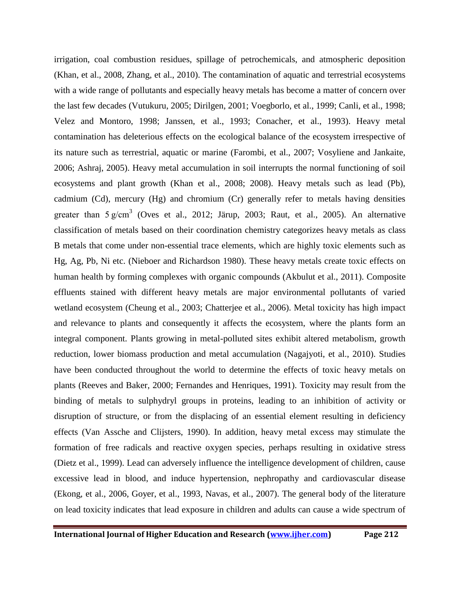irrigation, coal combustion residues, spillage of petrochemicals, and atmospheric deposition (Khan, et al., 2008, Zhang, et al., 2010). The contamination of aquatic and terrestrial ecosystems with a wide range of pollutants and especially heavy metals has become a matter of concern over the last few decades (Vutukuru, 2005; Dirilgen, 2001; Voegborlo, et al., 1999; Canli, et al., 1998; Velez and Montoro, 1998; Janssen, et al., 1993; Conacher, et al., 1993). Heavy metal contamination has deleterious effects on the ecological balance of the ecosystem irrespective of its nature such as terrestrial, aquatic or marine (Farombi, et al., 2007; Vosyliene and Jankaite, 2006; Ashraj, 2005). Heavy metal accumulation in soil interrupts the normal functioning of soil ecosystems and plant growth (Khan et al., 2008; 2008). Heavy metals such as lead (Pb), cadmium (Cd), mercury (Hg) and chromium (Cr) generally refer to metals having densities greater than  $5 \text{ g/cm}^3$  (Oves et al., 2012; Järup, 2003; Raut, et al., 2005). An alternative classification of metals based on their coordination chemistry categorizes heavy metals as class B metals that come under non-essential trace elements, which are highly toxic elements such as Hg, Ag, Pb, Ni etc. (Nieboer and Richardson 1980). These heavy metals create toxic effects on human health by forming complexes with organic compounds (Akbulut et al., 2011). Composite effluents stained with different heavy metals are major environmental pollutants of varied wetland ecosystem (Cheung et al., 2003; Chatterjee et al., 2006). Metal toxicity has high impact and relevance to plants and consequently it affects the ecosystem, where the plants form an integral component. Plants growing in metal-polluted sites exhibit altered metabolism, growth reduction, lower biomass production and metal accumulation (Nagajyoti, et al., 2010). Studies have been conducted throughout the world to determine the effects of toxic heavy metals on plants (Reeves and Baker, 2000; Fernandes and Henriques, 1991). Toxicity may result from the binding of metals to sulphydryl groups in proteins, leading to an inhibition of activity or disruption of structure, or from the displacing of an essential element resulting in deficiency effects (Van Assche and Clijsters, 1990). In addition, heavy metal excess may stimulate the formation of free radicals and reactive oxygen species, perhaps resulting in oxidative stress (Dietz et al., 1999). Lead can adversely influence the intelligence development of children, cause excessive lead in blood, and induce hypertension, nephropathy and cardiovascular disease (Ekong, et al., 2006, Goyer, et al., 1993, Navas, et al., 2007). The general body of the literature on lead toxicity indicates that lead exposure in children and adults can cause a wide spectrum of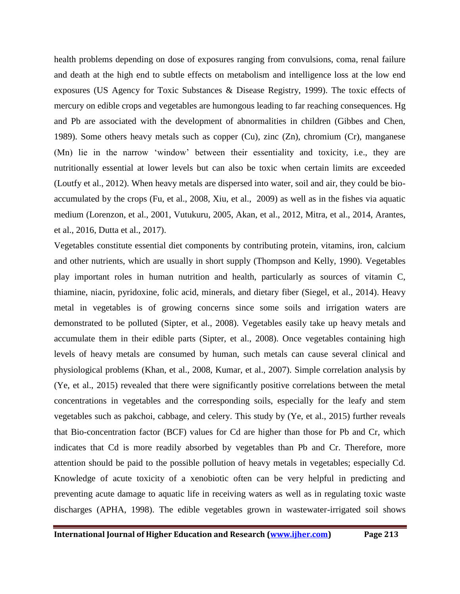health problems depending on dose of exposures ranging from convulsions, coma, renal failure and death at the high end to subtle effects on metabolism and intelligence loss at the low end exposures (US Agency for Toxic Substances & Disease Registry, 1999). The toxic effects of mercury on edible crops and vegetables are humongous leading to far reaching consequences. Hg and Pb are associated with the development of abnormalities in children (Gibbes and Chen, 1989). Some others heavy metals such as copper (Cu), zinc (Zn), chromium (Cr), manganese (Mn) lie in the narrow 'window' between their essentiality and toxicity, i.e., they are nutritionally essential at lower levels but can also be toxic when certain limits are exceeded (Loutfy et al., 2012). When heavy metals are dispersed into water, soil and air, they could be bioaccumulated by the crops (Fu, et al., 2008, Xiu, et al., 2009) as well as in the fishes via aquatic medium (Lorenzon, et al., 2001, Vutukuru, 2005, Akan, et al., 2012, Mitra, et al., 2014, Arantes, et al., 2016, Dutta et al., 2017).

Vegetables constitute essential diet components by contributing protein, vitamins, iron, calcium and other nutrients, which are usually in short supply (Thompson and Kelly, 1990). Vegetables play important roles in human nutrition and health, particularly as sources of vitamin C, thiamine, niacin, pyridoxine, folic acid, minerals, and dietary fiber (Siegel, et al., 2014). Heavy metal in vegetables is of growing concerns since some soils and irrigation waters are demonstrated to be polluted (Sipter, et al., 2008). Vegetables easily take up heavy metals and accumulate them in their edible parts (Sipter, et al., 2008). Once vegetables containing high levels of heavy metals are consumed by human, such metals can cause several clinical and physiological problems (Khan, et al., 2008, Kumar, et al., 2007). Simple correlation analysis by (Ye, et al., 2015) revealed that there were significantly positive correlations between the metal concentrations in vegetables and the corresponding soils, especially for the leafy and stem vegetables such as pakchoi, cabbage, and celery. This study by (Ye, et al., 2015) further reveals that Bio-concentration factor (BCF) values for Cd are higher than those for Pb and Cr, which indicates that Cd is more readily absorbed by vegetables than Pb and Cr. Therefore, more attention should be paid to the possible pollution of heavy metals in vegetables; especially Cd. Knowledge of acute toxicity of a xenobiotic often can be very helpful in predicting and preventing acute damage to aquatic life in receiving waters as well as in regulating toxic waste discharges (APHA, 1998). The edible vegetables grown in wastewater-irrigated soil shows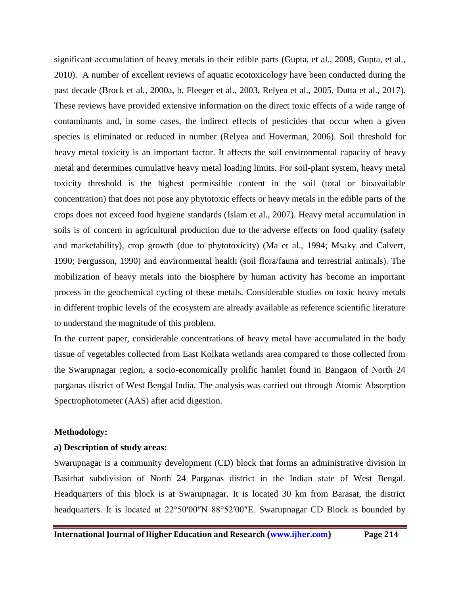significant accumulation of heavy metals in their edible parts (Gupta, et al., 2008, Gupta, et al., 2010). A number of excellent reviews of aquatic ecotoxicology have been conducted during the past decade (Brock et al., 2000a, b, Fleeger et al., 2003, Relyea et al., 2005, Dutta et al., 2017). These reviews have provided extensive information on the direct toxic effects of a wide range of contaminants and, in some cases, the indirect effects of pesticides that occur when a given species is eliminated or reduced in number (Relyea and Hoverman, 2006). Soil threshold for heavy metal toxicity is an important factor. It affects the soil environmental capacity of heavy metal and determines cumulative heavy metal loading limits. For soil-plant system, heavy metal toxicity threshold is the highest permissible content in the soil (total or bioavailable concentration) that does not pose any phytotoxic effects or heavy metals in the edible parts of the crops does not exceed food hygiene standards (Islam et al., 2007). Heavy metal accumulation in soils is of concern in agricultural production due to the adverse effects on food quality (safety and marketability), crop growth (due to phytotoxicity) (Ma et al., 1994; Msaky and Calvert, 1990; Fergusson, 1990) and environmental health (soil flora/fauna and terrestrial animals). The mobilization of heavy metals into the biosphere by human activity has become an important process in the geochemical cycling of these metals. Considerable studies on toxic heavy metals in different trophic levels of the ecosystem are already available as reference scientific literature to understand the magnitude of this problem.

In the current paper, considerable concentrations of heavy metal have accumulated in the body tissue of vegetables collected from East Kolkata wetlands area compared to those collected from the Swarupnagar region, a socio-economically prolific hamlet found in Bangaon of North 24 parganas district of West Bengal India. The analysis was carried out through Atomic Absorption Spectrophotometer (AAS) after acid digestion.

#### **Methodology:**

## **a) Description of study areas:**

Swarupnagar is a community development (CD) block that forms an administrative division in Basirhat subdivision of North 24 Parganas district in the Indian state of West Bengal. Headquarters of this block is at Swarupnagar. It is located 30 km from Barasat, the district headquarters. It is located at 22°50′00″N 88°52′00″E. Swarupnagar CD Block is bounded by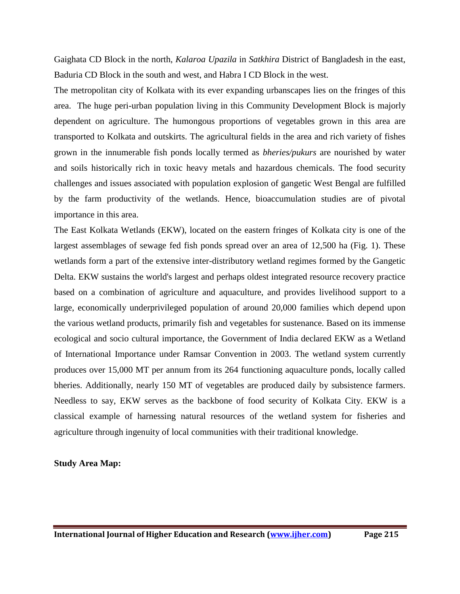Gaighata CD Block in the north, *Kalaroa Upazila* in *Satkhira* District of Bangladesh in the east, Baduria CD Block in the south and west, and Habra I CD Block in the west.

The metropolitan city of Kolkata with its ever expanding urbanscapes lies on the fringes of this area. The huge peri-urban population living in this Community Development Block is majorly dependent on agriculture. The humongous proportions of vegetables grown in this area are transported to Kolkata and outskirts. The agricultural fields in the area and rich variety of fishes grown in the innumerable fish ponds locally termed as *bheries/pukurs* are nourished by water and soils historically rich in toxic heavy metals and hazardous chemicals. The food security challenges and issues associated with population explosion of gangetic West Bengal are fulfilled by the farm productivity of the wetlands. Hence, bioaccumulation studies are of pivotal importance in this area.

The East Kolkata Wetlands (EKW), located on the eastern fringes of Kolkata city is one of the largest assemblages of sewage fed fish ponds spread over an area of 12,500 ha (Fig. 1). These wetlands form a part of the extensive inter-distributory wetland regimes formed by the Gangetic Delta. EKW sustains the world's largest and perhaps oldest integrated resource recovery practice based on a combination of agriculture and aquaculture, and provides livelihood support to a large, economically underprivileged population of around 20,000 families which depend upon the various wetland products, primarily fish and vegetables for sustenance. Based on its immense ecological and socio cultural importance, the Government of India declared EKW as a Wetland of International Importance under Ramsar Convention in 2003. The wetland system currently produces over 15,000 MT per annum from its 264 functioning aquaculture ponds, locally called bheries. Additionally, nearly 150 MT of vegetables are produced daily by subsistence farmers. Needless to say, EKW serves as the backbone of food security of Kolkata City. EKW is a classical example of harnessing natural resources of the wetland system for fisheries and agriculture through ingenuity of local communities with their traditional knowledge.

## **Study Area Map:**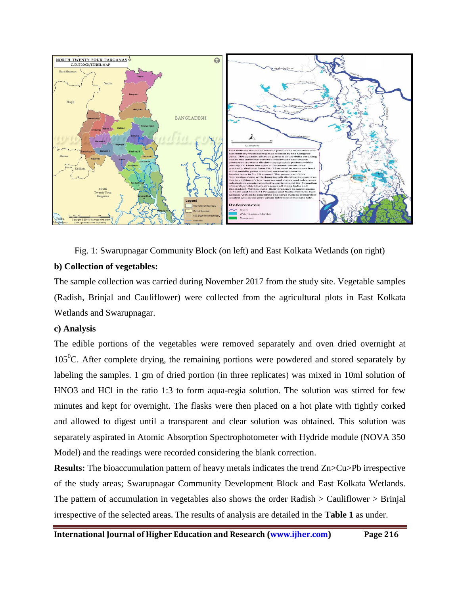

Fig. 1: Swarupnagar Community Block (on left) and East Kolkata Wetlands (on right)

## **b) Collection of vegetables:**

The sample collection was carried during November 2017 from the study site. Vegetable samples (Radish, Brinjal and Cauliflower) were collected from the agricultural plots in East Kolkata Wetlands and Swarupnagar.

## **c) Analysis**

The edible portions of the vegetables were removed separately and oven dried overnight at  $105^{\circ}$ C. After complete drying, the remaining portions were powdered and stored separately by labeling the samples. 1 gm of dried portion (in three replicates) was mixed in 10ml solution of HNO3 and HCl in the ratio 1:3 to form aqua-regia solution. The solution was stirred for few minutes and kept for overnight. The flasks were then placed on a hot plate with tightly corked and allowed to digest until a transparent and clear solution was obtained. This solution was separately aspirated in Atomic Absorption Spectrophotometer with Hydride module (NOVA 350 Model) and the readings were recorded considering the blank correction.

**Results:** The bioaccumulation pattern of heavy metals indicates the trend Zn>Cu>Pb irrespective of the study areas; Swarupnagar Community Development Block and East Kolkata Wetlands. The pattern of accumulation in vegetables also shows the order Radish  $>$  Cauliflower  $>$  Brinjal irrespective of the selected areas**.** The results of analysis are detailed in the **Table 1** as under.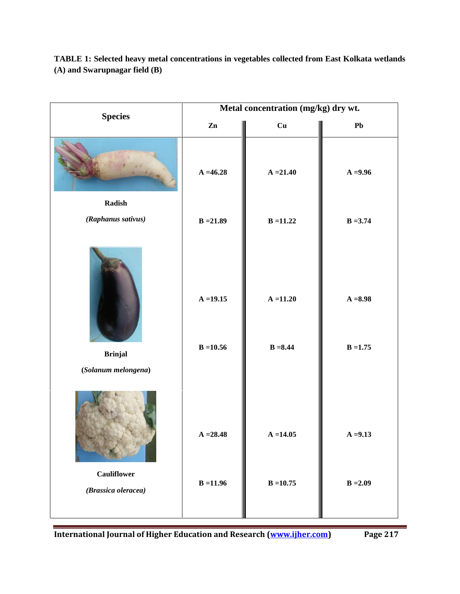| <b>Species</b>                            | Metal concentration (mg/kg) dry wt. |                            |                          |
|-------------------------------------------|-------------------------------------|----------------------------|--------------------------|
|                                           | $\mathbf{Zn}$                       | Cu                         | ${\bf Pb}$               |
|                                           | $A = 46.28$                         | $A = 21.40$                | $A = 9.96$               |
| $\bf Radish$                              |                                     |                            |                          |
| (Raphanus sativus)                        | $B = 21.89$                         | $B = 11.22$                | $B = 3.74$               |
| <b>Brinjal</b><br>(Solanum melongena)     | $A = 19.15$<br>$B = 10.56$          | $A = 11.20$<br>$B = 8.44$  | $A = 8.98$<br>$B = 1.75$ |
| <b>Cauliflower</b><br>(Brassica oleracea) | $A = 28.48$<br>$B = 11.96$          | $A = 14.05$<br>$B = 10.75$ | $A = 9.13$<br>$B = 2.09$ |

**TABLE 1: Selected heavy metal concentrations in vegetables collected from East Kolkata wetlands (A) and Swarupnagar field (B)**

**International Journal of Higher Education and Research [\(www.ijher.com\)](http://www.ijher.com/)** Page 217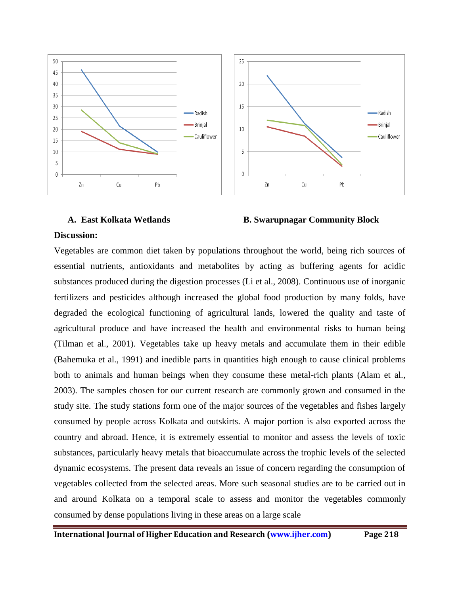

## **A. East Kolkata Wetlands B. Swarupnagar Community Block**

## **Discussion:**

Vegetables are common diet taken by populations throughout the world, being rich sources of essential nutrients, antioxidants and metabolites by acting as buffering agents for acidic substances produced during the digestion processes (Li et al., 2008). Continuous use of inorganic fertilizers and pesticides although increased the global food production by many folds, have degraded the ecological functioning of agricultural lands, lowered the quality and taste of agricultural produce and have increased the health and environmental risks to human being (Tilman et al., 2001). Vegetables take up heavy metals and accumulate them in their edible (Bahemuka et al., 1991) and inedible parts in quantities high enough to cause clinical problems both to animals and human beings when they consume these metal-rich plants (Alam et al., 2003). The samples chosen for our current research are commonly grown and consumed in the study site. The study stations form one of the major sources of the vegetables and fishes largely consumed by people across Kolkata and outskirts. A major portion is also exported across the country and abroad. Hence, it is extremely essential to monitor and assess the levels of toxic substances, particularly heavy metals that bioaccumulate across the trophic levels of the selected dynamic ecosystems. The present data reveals an issue of concern regarding the consumption of vegetables collected from the selected areas. More such seasonal studies are to be carried out in and around Kolkata on a temporal scale to assess and monitor the vegetables commonly consumed by dense populations living in these areas on a large scale

**International Journal of Higher Education and Research [\(www.ijher.com\)](http://www.ijher.com/) Page 218**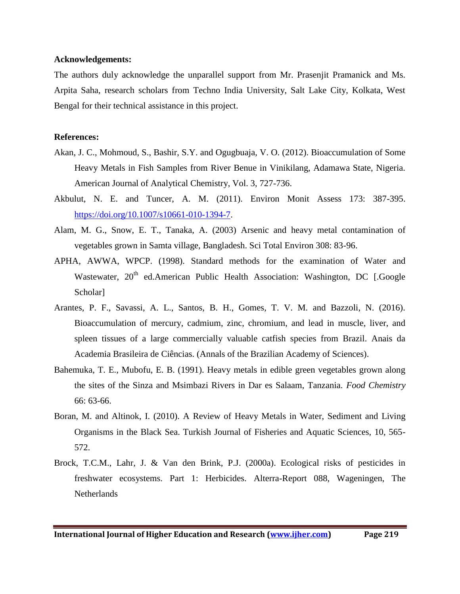#### **Acknowledgements:**

The authors duly acknowledge the unparallel support from Mr. Prasenjit Pramanick and Ms. Arpita Saha, research scholars from Techno India University, Salt Lake City, Kolkata, West Bengal for their technical assistance in this project.

## **References:**

- Akan, J. C., Mohmoud, S., Bashir, S.Y. and Ogugbuaja, V. O. (2012). Bioaccumulation of Some Heavy Metals in Fish Samples from River Benue in Vinikilang, Adamawa State, Nigeria. American Journal of Analytical Chemistry, Vol. 3, 727-736.
- Akbulut, N. E. and Tuncer, A. M. (2011). Environ Monit Assess 173: 387-395. [https://doi.org/10.1007/s10661-010-1394-7.](https://doi.org/10.1007/s10661-010-1394-7)
- Alam, M. G., Snow, E. T., Tanaka, A. (2003) Arsenic and heavy metal contamination of vegetables grown in Samta village, Bangladesh. Sci Total Environ 308: 83-96.
- APHA, AWWA, WPCP. (1998). Standard methods for the examination of Water and Wastewater,  $20<sup>th</sup>$  ed.American Public Health Association: Washington, DC [.Google Scholar]
- Arantes, P. F., Savassi, A. L., Santos, B. H., Gomes, T. V. M. and Bazzoli, N. (2016). Bioaccumulation of mercury, cadmium, zinc, chromium, and lead in muscle, liver, and spleen tissues of a large commercially valuable catfish species from Brazil. Anais da Academia Brasileira de Ciências. (Annals of the Brazilian Academy of Sciences).
- Bahemuka, T. E., Mubofu, E. B. (1991). Heavy metals in edible green vegetables grown along the sites of the Sinza and Msimbazi Rivers in Dar es Salaam, Tanzania. *Food Chemistry* 66: 63-66.
- Boran, M. and Altinok, I. (2010). A Review of Heavy Metals in Water, Sediment and Living Organisms in the Black Sea. Turkish Journal of Fisheries and Aquatic Sciences, 10, 565- 572.
- Brock, T.C.M., Lahr, J. & Van den Brink, P.J. (2000a). Ecological risks of pesticides in freshwater ecosystems. Part 1: Herbicides. Alterra-Report 088, Wageningen, The **Netherlands**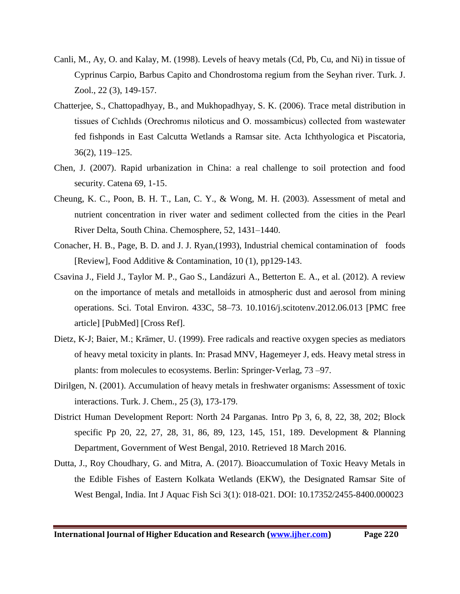- Canli, M., Ay, O. and Kalay, M. (1998). Levels of heavy metals (Cd, Pb, Cu, and Ni) in tissue of Cyprinus Carpio, Barbus Capito and Chondrostoma regium from the Seyhan river. Turk. J. Zool., 22 (3), 149-157.
- Chatterjee, S., Chattopadhyay, B., and Mukhopadhyay, S. K. (2006). Trace metal distribution in tissues of Cıchlıds (Orechromıs niloticus and O. mossambicus) collected from wastewater fed fishponds in East Calcutta Wetlands a Ramsar site. Acta Ichthyologica et Piscatoria, 36(2), 119–125.
- Chen, J. (2007). Rapid urbanization in China: a real challenge to soil protection and food security. Catena 69, 1-15.
- Cheung, K. C., Poon, B. H. T., Lan, C. Y., & Wong, M. H. (2003). Assessment of metal and nutrient concentration in river water and sediment collected from the cities in the Pearl River Delta, South China. Chemosphere, 52, 1431–1440.
- Conacher, H. B., Page, B. D. and J. J. Ryan,(1993), Industrial chemical contamination of foods [Review], Food Additive & Contamination, 10 (1), pp129-143.
- Csavina J., Field J., Taylor M. P., Gao S., Landázuri A., Betterton E. A., et al. (2012). A review on the importance of metals and metalloids in atmospheric dust and aerosol from mining operations. Sci. Total Environ. 433C, 58–73. 10.1016/j.scitotenv.2012.06.013 [PMC free article] [PubMed] [Cross Ref].
- Dietz, K‐J; Baier, M.; Krämer, U. (1999). Free radicals and reactive oxygen species as mediators of heavy metal toxicity in plants. In: Prasad MNV, Hagemeyer J, eds. Heavy metal stress in plants: from molecules to ecosystems. Berlin: Springer‐Verlag, 73 –97.
- Dirilgen, N. (2001). Accumulation of heavy metals in freshwater organisms: Assessment of toxic interactions. Turk. J. Chem., 25 (3), 173-179.
- District Human Development Report: North 24 Parganas. Intro Pp 3, 6, 8, 22, 38, 202; Block specific Pp 20, 22, 27, 28, 31, 86, 89, 123, 145, 151, 189. Development & Planning Department, Government of West Bengal, 2010. Retrieved 18 March 2016.
- Dutta, J., Roy Choudhary, G. and Mitra, A. (2017). Bioaccumulation of Toxic Heavy Metals in the Edible Fishes of Eastern Kolkata Wetlands (EKW), the Designated Ramsar Site of West Bengal, India. Int J Aquac Fish Sci 3(1): 018-021. DOI: 10.17352/2455-8400.000023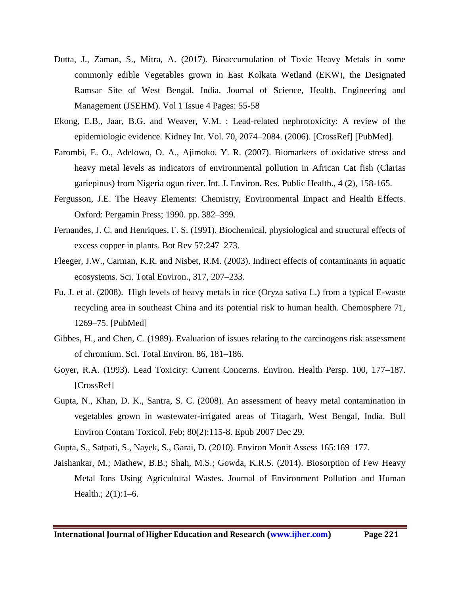- Dutta, J., Zaman, S., Mitra, A. (2017). Bioaccumulation of Toxic Heavy Metals in some commonly edible Vegetables grown in East Kolkata Wetland (EKW), the Designated Ramsar Site of West Bengal, India. Journal of Science, Health, Engineering and Management (JSEHM). Vol 1 Issue 4 Pages: 55-58
- Ekong, E.B., Jaar, B.G. and Weaver, V.M. : Lead-related nephrotoxicity: A review of the epidemiologic evidence. Kidney Int. Vol. 70, 2074–2084. (2006). [CrossRef] [PubMed].
- Farombi, E. O., Adelowo, O. A., Ajimoko. Y. R. (2007). Biomarkers of oxidative stress and heavy metal levels as indicators of environmental pollution in African Cat fish (Clarias gariepinus) from Nigeria ogun river. Int. J. Environ. Res. Public Health., 4 (2), 158-165.
- Fergusson, J.E. The Heavy Elements: Chemistry, Environmental Impact and Health Effects. Oxford: Pergamin Press; 1990. pp. 382–399.
- Fernandes, J. C. and Henriques, F. S. (1991). Biochemical, physiological and structural effects of excess copper in plants. Bot Rev 57:247–273.
- Fleeger, J.W., Carman, K.R. and Nisbet, R.M. (2003). Indirect effects of contaminants in aquatic ecosystems. Sci. Total Environ., 317, 207–233.
- Fu, J. et al. (2008). High levels of heavy metals in rice (Oryza sativa L.) from a typical E-waste recycling area in southeast China and its potential risk to human health. Chemosphere 71, 1269–75. [PubMed]
- Gibbes, H., and Chen, C. (1989). Evaluation of issues relating to the carcinogens risk assessment of chromium. Sci. Total Environ. 86, 181–186.
- Goyer, R.A. (1993). Lead Toxicity: Current Concerns. Environ. Health Persp. 100, 177–187. [CrossRef]
- Gupta, N., Khan, D. K., Santra, S. C. (2008). An assessment of heavy metal contamination in vegetables grown in wastewater-irrigated areas of Titagarh, West Bengal, India. Bull Environ Contam Toxicol. Feb; 80(2):115-8. Epub 2007 Dec 29.
- Gupta, S., Satpati, S., Nayek, S., Garai, D. (2010). Environ Monit Assess 165:169–177.
- Jaishankar, M.; Mathew, B.B.; Shah, M.S.; Gowda, K.R.S. (2014). Biosorption of Few Heavy Metal Ions Using Agricultural Wastes. Journal of Environment Pollution and Human Health.; 2(1):1–6.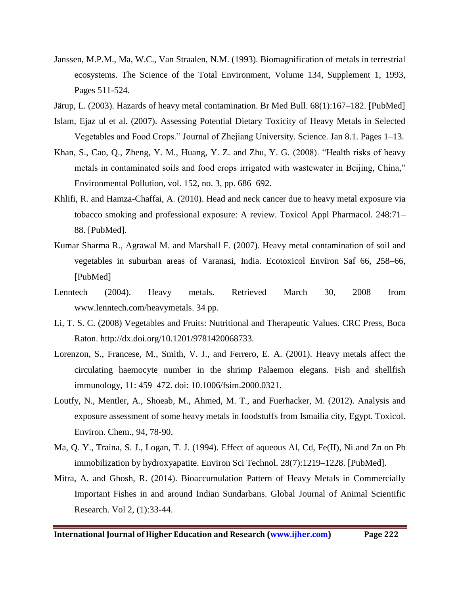- Janssen, M.P.M., Ma, W.C., Van Straalen, N.M. (1993). Biomagnification of metals in terrestrial ecosystems. The Science of the Total Environment, Volume 134, Supplement 1, 1993, Pages 511-524.
- Järup, L. (2003). Hazards of heavy metal contamination. Br Med Bull. 68(1):167–182. [PubMed]
- Islam, Ejaz ul et al. (2007). Assessing Potential Dietary Toxicity of Heavy Metals in Selected Vegetables and Food Crops." Journal of Zhejiang University. Science. Jan 8.1. Pages 1–13.
- Khan, S., Cao, Q., Zheng, Y. M., Huang, Y. Z. and Zhu, Y. G. (2008). "Health risks of heavy metals in contaminated soils and food crops irrigated with wastewater in Beijing, China," Environmental Pollution, vol. 152, no. 3, pp. 686–692.
- Khlifi, R. and Hamza-Chaffai, A. (2010). Head and neck cancer due to heavy metal exposure via tobacco smoking and professional exposure: A review. Toxicol Appl Pharmacol. 248:71– 88. [PubMed].
- Kumar Sharma R., Agrawal M. and Marshall F. (2007). Heavy metal contamination of soil and vegetables in suburban areas of Varanasi, India. Ecotoxicol Environ Saf 66, 258–66, [PubMed]
- Lenntech (2004). Heavy metals. Retrieved March 30, 2008 from www.lenntech.com/heavymetals. 34 pp.
- Li, T. S. C. (2008) Vegetables and Fruits: Nutritional and Therapeutic Values. CRC Press, Boca Raton. http://dx.doi.org/10.1201/9781420068733.
- Lorenzon, S., Francese, M., Smith, V. J., and Ferrero, E. A. (2001). Heavy metals affect the circulating haemocyte number in the shrimp Palaemon elegans. Fish and shellfish immunology, 11: 459–472. doi: 10.1006/fsim.2000.0321.
- Loutfy, N., Mentler, A., Shoeab, M., Ahmed, M. T., and Fuerhacker, M. (2012). Analysis and exposure assessment of some heavy metals in foodstuffs from Ismailia city, Egypt. Toxicol. Environ. Chem., 94, 78-90.
- Ma, Q. Y., Traina, S. J., Logan, T. J. (1994). Effect of aqueous Al, Cd, Fe(II), Ni and Zn on Pb immobilization by hydroxyapatite. Environ Sci Technol. 28(7):1219–1228. [PubMed].
- Mitra, A. and Ghosh, R. (2014). Bioaccumulation Pattern of Heavy Metals in Commercially Important Fishes in and around Indian Sundarbans. Global Journal of Animal Scientific Research. Vol 2, (1):33-44.

**International Journal of Higher Education and Research [\(www.ijher.com\)](http://www.ijher.com/) Page 222**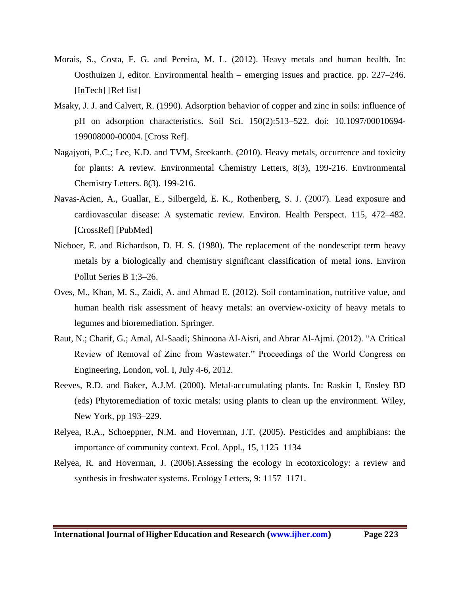- Morais, S., Costa, F. G. and Pereira, M. L. (2012). Heavy metals and human health. In: Oosthuizen J, editor. Environmental health – emerging issues and practice. pp. 227–246. [InTech] [Ref list]
- Msaky, J. J. and Calvert, R. (1990). Adsorption behavior of copper and zinc in soils: influence of pH on adsorption characteristics. Soil Sci. 150(2):513–522. doi: 10.1097/00010694- 199008000-00004. [Cross Ref].
- Nagajyoti, P.C.; Lee, K.D. and TVM, Sreekanth. (2010). Heavy metals, occurrence and toxicity for plants: A review. Environmental Chemistry Letters, 8(3), 199-216. Environmental Chemistry Letters. 8(3). 199-216.
- Navas-Acien, A., Guallar, E., Silbergeld, E. K., Rothenberg, S. J. (2007). Lead exposure and cardiovascular disease: A systematic review. Environ. Health Perspect. 115, 472–482. [CrossRef] [PubMed]
- Nieboer, E. and Richardson, D. H. S. (1980). The replacement of the nondescript term heavy metals by a biologically and chemistry significant classification of metal ions. Environ Pollut Series B 1:3–26.
- Oves, M., Khan, M. S., Zaidi, A. and Ahmad E. (2012). Soil contamination, nutritive value, and human health risk assessment of heavy metals: an overview-oxicity of heavy metals to legumes and bioremediation. Springer.
- Raut, N.; Charif, G.; Amal, Al-Saadi; Shinoona Al-Aisri, and Abrar Al-Ajmi. (2012). "A Critical Review of Removal of Zinc from Wastewater." Proceedings of the World Congress on Engineering, London, vol. I, July 4-6, 2012.
- Reeves, R.D. and Baker, A.J.M. (2000). Metal-accumulating plants. In: Raskin I, Ensley BD (eds) Phytoremediation of toxic metals: using plants to clean up the environment. Wiley, New York, pp 193–229.
- Relyea, R.A., Schoeppner, N.M. and Hoverman, J.T. (2005). Pesticides and amphibians: the importance of community context. Ecol. Appl., 15, 1125–1134
- Relyea, R. and Hoverman, J. (2006).Assessing the ecology in ecotoxicology: a review and synthesis in freshwater systems. Ecology Letters, 9: 1157–1171.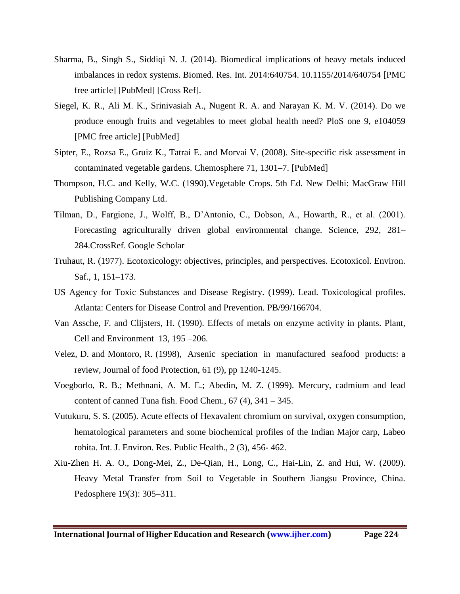- Sharma, B., Singh S., Siddiqi N. J. (2014). Biomedical implications of heavy metals induced imbalances in redox systems. Biomed. Res. Int. 2014:640754. 10.1155/2014/640754 [PMC free article] [PubMed] [Cross Ref].
- Siegel, K. R., Ali M. K., Srinivasiah A., Nugent R. A. and Narayan K. M. V. (2014). Do we produce enough fruits and vegetables to meet global health need? PloS one 9, e104059 [PMC free article] [PubMed]
- Sipter, E., Rozsa E., Gruiz K., Tatrai E. and Morvai V. (2008). Site-specific risk assessment in contaminated vegetable gardens. Chemosphere 71, 1301–7. [PubMed]
- Thompson, H.C. and Kelly, W.C. (1990).Vegetable Crops. 5th Ed. New Delhi: MacGraw Hill Publishing Company Ltd.
- Tilman, D., Fargione, J., Wolff, B., D'Antonio, C., Dobson, A., Howarth, R., et al. (2001). Forecasting agriculturally driven global environmental change. Science, 292, 281– 284.CrossRef. Google Scholar
- Truhaut, R. (1977). Ecotoxicology: objectives, principles, and perspectives. Ecotoxicol. Environ. Saf., 1, 151–173.
- US Agency for Toxic Substances and Disease Registry. (1999). Lead. Toxicological profiles. Atlanta: Centers for Disease Control and Prevention. PB/99/166704.
- Van Assche, F. and Clijsters, H. (1990). Effects of metals on enzyme activity in plants. Plant, Cell and Environment 13, 195 –206.
- Velez, D. and Montoro, R. (1998), Arsenic speciation in manufactured seafood products: a review, Journal of food Protection, 61 (9), pp 1240-1245.
- Voegborlo, R. B.; Methnani, A. M. E.; Abedin, M. Z. (1999). Mercury, cadmium and lead content of canned Tuna fish. Food Chem.,  $67(4)$ ,  $341 - 345$ .
- Vutukuru, S. S. (2005). Acute effects of Hexavalent chromium on survival, oxygen consumption, hematological parameters and some biochemical profiles of the Indian Major carp, Labeo rohita. Int. J. Environ. Res. Public Health., 2 (3), 456- 462.
- Xiu-Zhen H. A. O., Dong-Mei, Z., De-Qian, H., Long, C., Hai-Lin, Z. and Hui, W. (2009). Heavy Metal Transfer from Soil to Vegetable in Southern Jiangsu Province, China. Pedosphere 19(3): 305–311.